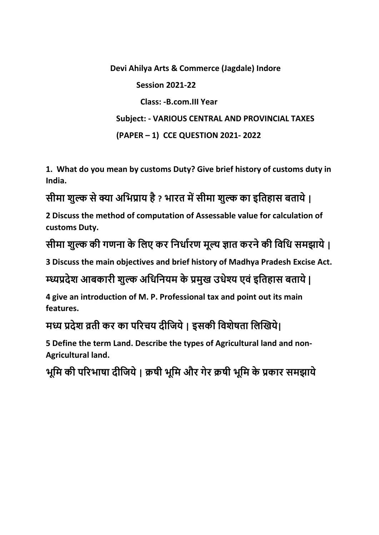**Devi Ahilya Arts & Commerce (Jagdale) Indore Session 2021-22 Class: -B.com.III Year Subject: - VARIOUS CENTRAL AND PROVINCIAL TAXES (PAPER – 1) CCE QUESTION 2021- 2022**

**1. What do you mean by customs Duty? Give brief history of customs duty in India.**

# **सीमा शुल्क से क्या अभिप्राय है ? िारत मेंसीमा शुल्क का इभतहास बताये |**

**2 Discuss the method of computation of Assessable value for calculation of customs Duty.**

**सीमा शुल्क की गणना के भिए कर भनर्ाारण मूल्य ज्ञात करने की भिभर् समझाये |**

**3 Discuss the main objectives and brief history of Madhya Pradesh Excise Act.**

**म्ध्यप्रदेश आबकारी शुल्क अभर्भनयम के प्रमुख उर्ेश्य एिं इभतहास बताये |** 

**4 give an introduction of M. P. Professional tax and point out its main features.**

**मय प्रदेश व्रती कर का पररचय दीभिये | इसकी भिशेषता भिखखये|**

**5 Define the term Land. Describe the types of Agricultural land and non-Agricultural land.**

**िूभम की पररिाषा दीभिये | क्रषी िूभम और गेर क्रषी िूभम के प्रकार समझाये**